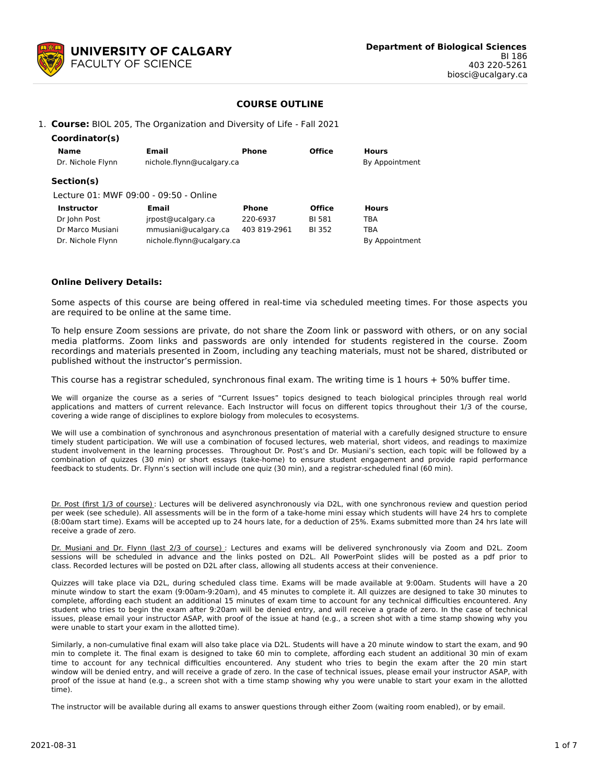

## **COURSE OUTLINE**

#### 1. **Course:** BIOL 205, The Organization and Diversity of Life - Fall 2021

| Coordinator(s)             |                                        |                |               |                |  |  |  |
|----------------------------|----------------------------------------|----------------|---------------|----------------|--|--|--|
| Name                       | Email                                  | <b>Phone</b>   | <b>Office</b> | <b>Hours</b>   |  |  |  |
| Dr. Nichole Flynn          | nichole.flynn@ucalgary.ca              | By Appointment |               |                |  |  |  |
| Section(s)                 |                                        |                |               |                |  |  |  |
|                            | Lecture 01: MWF 09:00 - 09:50 - Online |                |               |                |  |  |  |
| Email<br><b>Instructor</b> |                                        | <b>Phone</b>   | <b>Office</b> | <b>Hours</b>   |  |  |  |
| Dr John Post               | jrpost@ucalgary.ca                     | 220-6937       | BI 581        | TBA            |  |  |  |
| Dr Marco Musiani           | mmusiani@ucalgary.ca                   |                | <b>BI 352</b> | <b>TBA</b>     |  |  |  |
| Dr. Nichole Flynn          | nichole.flynn@ucalgary.ca              |                |               | By Appointment |  |  |  |

#### **Online Delivery Details:**

Some aspects of this course are being offered in real-time via scheduled meeting times. For those aspects you are required to be online at the same time.

To help ensure Zoom sessions are private, do not share the Zoom link or password with others, or on any social media platforms. Zoom links and passwords are only intended for students registered in the course. Zoom recordings and materials presented in Zoom, including any teaching materials, must not be shared, distributed or published without the instructor's permission.

This course has a registrar scheduled, synchronous final exam. The writing time is 1 hours + 50% buffer time.

We will organize the course as a series of "Current Issues" topics designed to teach biological principles through real world applications and matters of current relevance. Each Instructor will focus on different topics throughout their 1/3 of the course, covering a wide range of disciplines to explore biology from molecules to ecosystems.

We will use a combination of synchronous and asynchronous presentation of material with a carefully designed structure to ensure timely student participation. We will use a combination of focused lectures, web material, short videos, and readings to maximize student involvement in the learning processes. Throughout Dr. Post's and Dr. Musiani's section, each topic will be followed by a combination of quizzes (30 min) or short essays (take-home) to ensure student engagement and provide rapid performance feedback to students. Dr. Flynn's section will include one quiz (30 min), and a registrar-scheduled final (60 min).

Dr. Post (first 1/3 of course): Lectures will be delivered asynchronously via D2L, with one synchronous review and question period per week (see schedule). All assessments will be in the form of a take-home mini essay which students will have 24 hrs to complete (8:00am start time). Exams will be accepted up to 24 hours late, for a deduction of 25%. Exams submitted more than 24 hrs late will receive a grade of zero.

Dr. Musiani and Dr. Flynn (last 2/3 of course) : Lectures and exams will be delivered synchronously via Zoom and D2L. Zoom sessions will be scheduled in advance and the links posted on D2L. All PowerPoint slides will be posted as a pdf prior to class. Recorded lectures will be posted on D2L after class, allowing all students access at their convenience.

Quizzes will take place via D2L, during scheduled class time. Exams will be made available at 9:00am. Students will have a 20 minute window to start the exam (9:00am-9:20am), and 45 minutes to complete it. All quizzes are designed to take 30 minutes to complete, affording each student an additional 15 minutes of exam time to account for any technical difficulties encountered. Any student who tries to begin the exam after 9:20am will be denied entry, and will receive a grade of zero. In the case of technical issues, please email your instructor ASAP, with proof of the issue at hand (e.g., a screen shot with a time stamp showing why you were unable to start your exam in the allotted time).

Similarly, a non-cumulative final exam will also take place via D2L. Students will have a 20 minute window to start the exam, and 90 min to complete it. The final exam is designed to take 60 min to complete, affording each student an additional 30 min of exam time to account for any technical difficulties encountered. Any student who tries to begin the exam after the 20 min start window will be denied entry, and will receive a grade of zero. In the case of technical issues, please email your instructor ASAP, with proof of the issue at hand (e.g., a screen shot with a time stamp showing why you were unable to start your exam in the allotted time).

The instructor will be available during all exams to answer questions through either Zoom (waiting room enabled), or by email.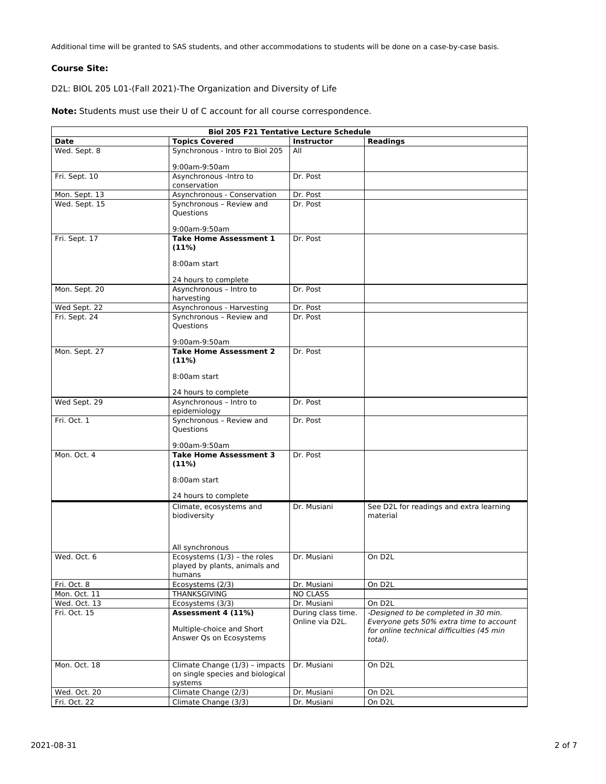Additional time will be granted to SAS students, and other accommodations to students will be done on a case-by-case basis.

### **Course Site:**

D2L: BIOL 205 L01-(Fall 2021)-The Organization and Diversity of Life

| <b>Biol 205 F21 Tentative Lecture Schedule</b> |                                                                         |                                       |                                                                                                                              |  |  |  |  |
|------------------------------------------------|-------------------------------------------------------------------------|---------------------------------------|------------------------------------------------------------------------------------------------------------------------------|--|--|--|--|
| <b>Date</b>                                    | <b>Topics Covered</b>                                                   | <b>Instructor</b>                     | <b>Readings</b>                                                                                                              |  |  |  |  |
| Wed. Sept. 8                                   | Synchronous - Intro to Biol 205                                         | All                                   |                                                                                                                              |  |  |  |  |
|                                                | 9:00am-9:50am                                                           |                                       |                                                                                                                              |  |  |  |  |
| Fri. Sept. 10                                  | Asynchronous - Intro to                                                 | Dr. Post                              |                                                                                                                              |  |  |  |  |
|                                                | conservation                                                            |                                       |                                                                                                                              |  |  |  |  |
| Mon. Sept. 13                                  | Asynchronous - Conservation                                             | Dr. Post                              |                                                                                                                              |  |  |  |  |
| Wed. Sept. 15                                  | Synchronous - Review and<br><b>Ouestions</b>                            | Dr. Post                              |                                                                                                                              |  |  |  |  |
|                                                |                                                                         |                                       |                                                                                                                              |  |  |  |  |
|                                                | 9:00am-9:50am                                                           |                                       |                                                                                                                              |  |  |  |  |
| Fri. Sept. 17                                  | <b>Take Home Assessment 1</b><br>(11%)                                  | Dr. Post                              |                                                                                                                              |  |  |  |  |
|                                                | 8:00am start                                                            |                                       |                                                                                                                              |  |  |  |  |
|                                                | 24 hours to complete                                                    |                                       |                                                                                                                              |  |  |  |  |
| Mon. Sept. 20                                  | Asynchronous - Intro to<br>harvesting                                   | Dr. Post                              |                                                                                                                              |  |  |  |  |
| Wed Sept. 22                                   | Asynchronous - Harvesting                                               | Dr. Post                              |                                                                                                                              |  |  |  |  |
| Fri. Sept. 24                                  | Synchronous - Review and<br><b>Ouestions</b>                            | Dr. Post                              |                                                                                                                              |  |  |  |  |
|                                                | 9:00am-9:50am                                                           |                                       |                                                                                                                              |  |  |  |  |
| Mon. Sept. 27                                  | <b>Take Home Assessment 2</b><br>(11%)                                  | Dr. Post                              |                                                                                                                              |  |  |  |  |
|                                                | 8:00am start                                                            |                                       |                                                                                                                              |  |  |  |  |
|                                                | 24 hours to complete                                                    |                                       |                                                                                                                              |  |  |  |  |
| Wed Sept. 29                                   | Asynchronous - Intro to<br>epidemiology                                 | Dr. Post                              |                                                                                                                              |  |  |  |  |
| Fri. Oct. 1                                    | Synchronous - Review and<br><b>Ouestions</b>                            | Dr. Post                              |                                                                                                                              |  |  |  |  |
|                                                | 9:00am-9:50am                                                           |                                       |                                                                                                                              |  |  |  |  |
| Mon. Oct. 4                                    | <b>Take Home Assessment 3</b><br>(11%)                                  | Dr. Post                              |                                                                                                                              |  |  |  |  |
|                                                | 8:00am start                                                            |                                       |                                                                                                                              |  |  |  |  |
|                                                | 24 hours to complete                                                    |                                       |                                                                                                                              |  |  |  |  |
|                                                | Climate, ecosystems and<br>biodiversity                                 | Dr. Musiani                           | See D2L for readings and extra learning<br>material                                                                          |  |  |  |  |
|                                                | All synchronous                                                         |                                       |                                                                                                                              |  |  |  |  |
| Wed. Oct. 6                                    | Ecosystems (1/3) - the roles<br>played by plants, animals and<br>humans | Dr. Musiani                           | On D <sub>2L</sub>                                                                                                           |  |  |  |  |
| Fri. Oct. 8                                    | Ecosystems (2/3)                                                        | Dr. Musiani                           | On D <sub>2</sub> L                                                                                                          |  |  |  |  |
| Mon. Oct. 11                                   | <b>THANKSGIVING</b>                                                     | <b>NO CLASS</b>                       |                                                                                                                              |  |  |  |  |
| Wed. Oct. 13                                   | Ecosystems (3/3)                                                        | Dr. Musiani                           | On D <sub>2</sub> L                                                                                                          |  |  |  |  |
| Fri. Oct. 15                                   | Assessment 4 (11%)<br>Multiple-choice and Short                         | During class time.<br>Online via D2L. | -Designed to be completed in 30 min.<br>Everyone gets 50% extra time to account<br>for online technical difficulties (45 min |  |  |  |  |

total).

Dr. Musiani On D2L

Answer Qs on Ecosystems

on single species and biological

Climate Change (3/3) Dr. Musiani On D2L

Wed. Oct. 20 Climate Change (2/3) Dr. Musiani On D2L<br>
Fri. Oct. 22 Climate Change (3/3) Dr. Musiani On D2L

Mon. Oct. 18 Climate Change (1/3) – impacts

systems

**Note:** Students must use their U of C account for all course correspondence.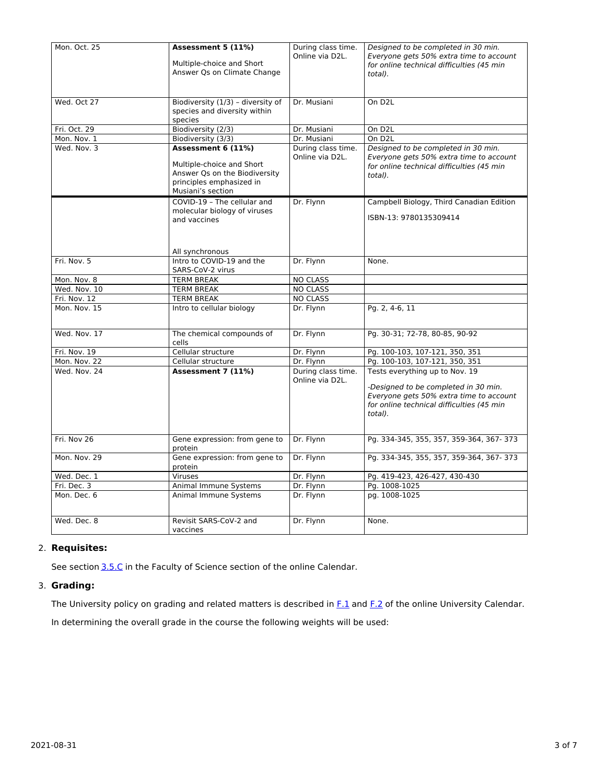| Mon. Oct. 25 | Assessment 5 (11%)<br>Multiple-choice and Short<br>Answer Qs on Climate Change                                                    | During class time.<br>Online via D2L. | Designed to be completed in 30 min.<br>Everyone gets 50% extra time to account<br>for online technical difficulties (45 min<br>total).                                    |  |  |  |
|--------------|-----------------------------------------------------------------------------------------------------------------------------------|---------------------------------------|---------------------------------------------------------------------------------------------------------------------------------------------------------------------------|--|--|--|
| Wed. Oct 27  | Biodiversity (1/3) - diversity of<br>species and diversity within<br>species                                                      | Dr. Musiani                           | On D <sub>2</sub> L                                                                                                                                                       |  |  |  |
| Fri. Oct. 29 | Biodiversity (2/3)                                                                                                                | Dr. Musiani                           | On D <sub>2</sub> L                                                                                                                                                       |  |  |  |
| Mon. Nov. 1  | Biodiversity (3/3)                                                                                                                | Dr. Musiani                           | On D <sub>2</sub> L                                                                                                                                                       |  |  |  |
| Wed. Nov. 3  | Assessment 6 (11%)<br>Multiple-choice and Short<br>Answer Qs on the Biodiversity<br>principles emphasized in<br>Musiani's section | During class time.<br>Online via D2L. | Designed to be completed in 30 min.<br>Everyone gets 50% extra time to account<br>for online technical difficulties (45 min<br>total).                                    |  |  |  |
|              | COVID-19 - The cellular and<br>molecular biology of viruses<br>and vaccines<br>All synchronous                                    | Dr. Flynn                             | Campbell Biology, Third Canadian Edition<br>ISBN-13: 9780135309414                                                                                                        |  |  |  |
| Fri. Nov. 5  | Intro to COVID-19 and the<br>SARS-CoV-2 virus                                                                                     | Dr. Flynn                             | None.                                                                                                                                                                     |  |  |  |
| Mon. Nov. 8  | <b>TERM BREAK</b>                                                                                                                 | <b>NO CLASS</b>                       |                                                                                                                                                                           |  |  |  |
| Wed. Nov. 10 | <b>TERM BREAK</b>                                                                                                                 | <b>NO CLASS</b>                       |                                                                                                                                                                           |  |  |  |
| Fri. Nov. 12 | <b>TERM BREAK</b>                                                                                                                 | <b>NO CLASS</b>                       |                                                                                                                                                                           |  |  |  |
| Mon. Nov. 15 | Intro to cellular biology                                                                                                         | Dr. Flynn                             | Pg. 2, 4-6, 11                                                                                                                                                            |  |  |  |
| Wed. Nov. 17 | The chemical compounds of<br>cells                                                                                                | Dr. Flynn                             | Pg. 30-31; 72-78, 80-85, 90-92                                                                                                                                            |  |  |  |
| Fri. Nov. 19 | Cellular structure                                                                                                                | Dr. Flynn                             | Pg. 100-103, 107-121, 350, 351                                                                                                                                            |  |  |  |
| Mon. Nov. 22 | Cellular structure                                                                                                                | Dr. Flynn                             | Pg. 100-103, 107-121, 350, 351                                                                                                                                            |  |  |  |
| Wed. Nov. 24 | Assessment 7 (11%)                                                                                                                | During class time.<br>Online via D2L. | Tests everything up to Nov. 19<br>-Designed to be completed in 30 min.<br>Everyone gets 50% extra time to account<br>for online technical difficulties (45 min<br>total). |  |  |  |
| Fri. Nov 26  | Gene expression: from gene to<br>protein                                                                                          | Dr. Flynn                             | Pq. 334-345, 355, 357, 359-364, 367-373                                                                                                                                   |  |  |  |
| Mon. Nov. 29 | Gene expression: from gene to<br>protein                                                                                          | Dr. Flynn                             | Pg. 334-345, 355, 357, 359-364, 367-373                                                                                                                                   |  |  |  |
| Wed. Dec. 1  | Viruses                                                                                                                           | Dr. Flynn                             | Pg. 419-423, 426-427, 430-430                                                                                                                                             |  |  |  |
| Fri. Dec. 3  | Animal Immune Systems                                                                                                             | Dr. Flynn                             | Pg. 1008-1025                                                                                                                                                             |  |  |  |
| Mon. Dec. 6  | Animal Immune Systems                                                                                                             | Dr. Flynn                             | pg. 1008-1025                                                                                                                                                             |  |  |  |
| Wed. Dec. 8  | Revisit SARS-CoV-2 and<br>vaccines                                                                                                | Dr. Flynn                             | None.                                                                                                                                                                     |  |  |  |

# 2. **Requisites:**

See section [3.5.C](http://www.ucalgary.ca/pubs/calendar/current/sc-3-5.html) in the Faculty of Science section of the online Calendar.

## 3. **Grading:**

The University policy on grading and related matters is described in [F.1](http://www.ucalgary.ca/pubs/calendar/current/f-1.html) and [F.2](http://www.ucalgary.ca/pubs/calendar/current/f-2.html) of the online University Calendar.

In determining the overall grade in the course the following weights will be used: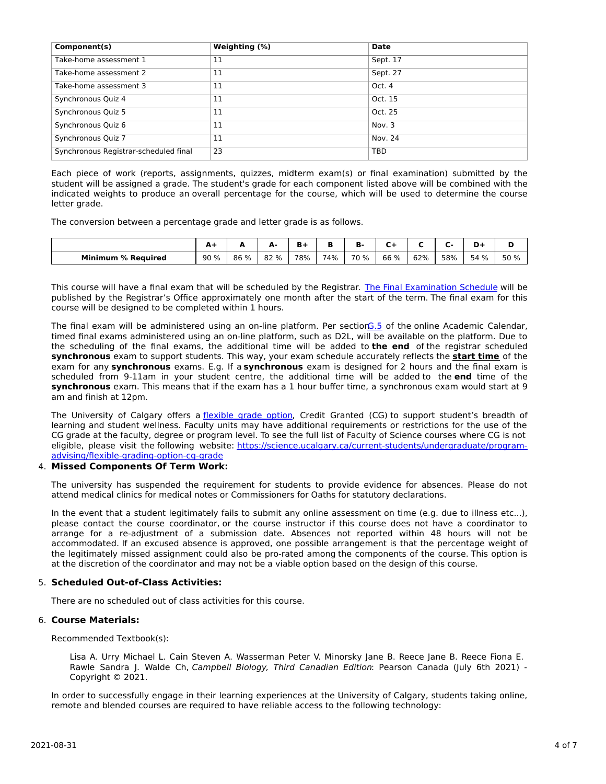| Component(s)                          | Weighting (%) | Date     |
|---------------------------------------|---------------|----------|
| Take-home assessment 1                | 11            | Sept. 17 |
| Take-home assessment 2                | 11            | Sept. 27 |
| Take-home assessment 3                | 11            | Oct. 4   |
| Synchronous Quiz 4                    | 11            | Oct. 15  |
| Synchronous Quiz 5                    | 11            | Oct. 25  |
| Synchronous Quiz 6                    | 11            | Nov. 3   |
| Synchronous Quiz 7                    | 11            | Nov. 24  |
| Synchronous Registrar-scheduled final | 23            | TBD      |

Each piece of work (reports, assignments, quizzes, midterm exam(s) or final examination) submitted by the student will be assigned a grade. The student's grade for each component listed above will be combined with the indicated weights to produce an overall percentage for the course, which will be used to determine the course letter grade.

The conversion between a percentage grade and letter grade is as follows.

|                           | AT  |      | . .  |     |     | D.   |      |     | -   | D.      |      |
|---------------------------|-----|------|------|-----|-----|------|------|-----|-----|---------|------|
| <b>Minimum % Required</b> | 90% | 86 % | 82 % | 78% | 74% | 70 % | 66 % | 62% | 58% | %<br>54 | 50 % |

This course will have a final exam that will be scheduled by the Registrar. The Final [Examination](https://www.ucalgary.ca/registrar/exams) Schedule will be published by the Registrar's Office approximately one month after the start of the term. The final exam for this course will be designed to be completed within 1 hours.

The final exam will be administered using an on-line platform. Per section<sup>G.5</sup> of the online Academic Calendar, timed final exams administered using an on-line platform, such as D2L, will be available on the platform. Due to the scheduling of the final exams, the additional time will be added to **the end** of the registrar scheduled **synchronous** exam to support students. This way, your exam schedule accurately reflects the **start time** of the exam for any **synchronous** exams. E.g. If a **synchronous** exam is designed for 2 hours and the final exam is scheduled from 9-11am in your student centre, the additional time will be added to the **end** time of the **synchronous** exam. This means that if the exam has a 1 hour buffer time, a synchronous exam would start at 9 am and finish at 12pm.

The University of Calgary offers a [flexible](https://www.ucalgary.ca/pubs/calendar/current/f-1-3.html) grade option, Credit Granted (CG) to support student's breadth of learning and student wellness. Faculty units may have additional requirements or restrictions for the use of the CG grade at the faculty, degree or program level. To see the full list of Faculty of Science courses where CG is not eligible, please visit the following website: [https://science.ucalgary.ca/current-students/undergraduate/program](https://science.ucalgary.ca/current-students/undergraduate/program-advising/flexible-grading-option-cg-grade)advising/flexible-grading-option-cg-grade

### 4. **Missed Components Of Term Work:**

The university has suspended the requirement for students to provide evidence for absences. Please do not attend medical clinics for medical notes or Commissioners for Oaths for statutory declarations.

In the event that a student legitimately fails to submit any online assessment on time (e.g. due to illness etc...), please contact the course coordinator, or the course instructor if this course does not have a coordinator to arrange for a re-adjustment of a submission date. Absences not reported within 48 hours will not be accommodated. If an excused absence is approved, one possible arrangement is that the percentage weight of the legitimately missed assignment could also be pro-rated among the components of the course. This option is at the discretion of the coordinator and may not be a viable option based on the design of this course.

# 5. **Scheduled Out-of-Class Activities:**

There are no scheduled out of class activities for this course.

### 6. **Course Materials:**

Recommended Textbook(s):

Lisa A. Urry Michael L. Cain Steven A. Wasserman Peter V. Minorsky Jane B. Reece Jane B. Reece Fiona E. Rawle Sandra J. Walde Ch, Campbell Biology, Third Canadian Edition: Pearson Canada (July 6th 2021) -Copyright © 2021.

In order to successfully engage in their learning experiences at the University of Calgary, students taking online, remote and blended courses are required to have reliable access to the following technology: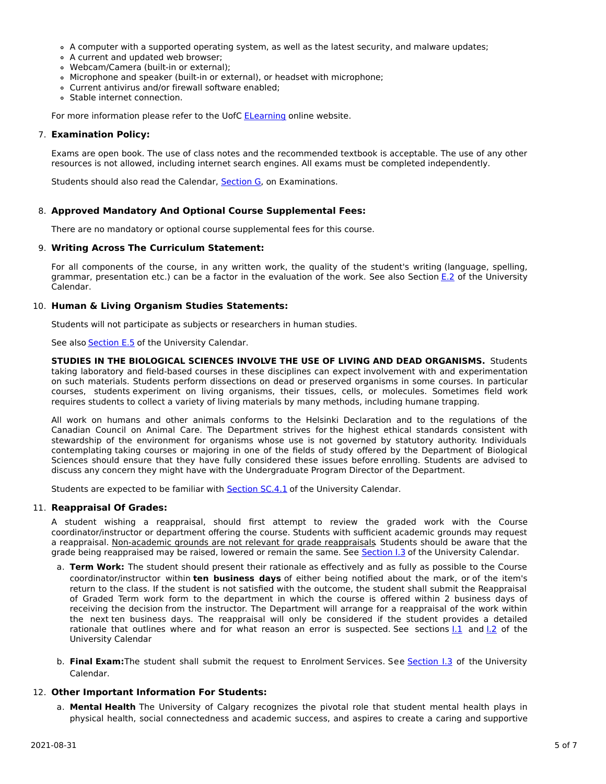- A computer with a supported operating system, as well as the latest security, and malware updates;
- A current and updated web browser;
- Webcam/Camera (built-in or external);
- Microphone and speaker (built-in or external), or headset with microphone;
- Current antivirus and/or firewall software enabled;
- Stable internet connection.

For more information please refer to the UofC [ELearning](https://elearn.ucalgary.ca/technology-requirements-for-students) online website.

#### 7. **Examination Policy:**

Exams are open book. The use of class notes and the recommended textbook is acceptable. The use of any other resources is not allowed, including internet search engines. All exams must be completed independently.

Students should also read the Calendar, [Section](http://www.ucalgary.ca/pubs/calendar/current/g.html) G, on Examinations.

#### 8. **Approved Mandatory And Optional Course Supplemental Fees:**

There are no mandatory or optional course supplemental fees for this course.

#### 9. **Writing Across The Curriculum Statement:**

For all components of the course, in any written work, the quality of the student's writing (language, spelling, grammar, presentation etc.) can be a factor in the evaluation of the work. See also Section [E.2](http://www.ucalgary.ca/pubs/calendar/current/e-2.html) of the University Calendar.

#### 10. **Human & Living Organism Studies Statements:**

Students will not participate as subjects or researchers in human studies.

See also **[Section](http://www.ucalgary.ca/pubs/calendar/current/e-5.html) E.5** of the University Calendar.

**STUDIES IN THE BIOLOGICAL SCIENCES INVOLVE THE USE OF LIVING AND DEAD ORGANISMS.** Students taking laboratory and field-based courses in these disciplines can expect involvement with and experimentation on such materials. Students perform dissections on dead or preserved organisms in some courses. In particular courses, students experiment on living organisms, their tissues, cells, or molecules. Sometimes field work requires students to collect a variety of living materials by many methods, including humane trapping.

All work on humans and other animals conforms to the Helsinki Declaration and to the regulations of the Canadian Council on Animal Care. The Department strives for the highest ethical standards consistent with stewardship of the environment for organisms whose use is not governed by statutory authority. Individuals contemplating taking courses or majoring in one of the fields of study offered by the Department of Biological Sciences should ensure that they have fully considered these issues before enrolling. Students are advised to discuss any concern they might have with the Undergraduate Program Director of the Department.

Students are expected to be familiar with **[Section](http://www.ucalgary.ca/pubs/calendar/current/sc-4-1.html) SC.4.1** of the University Calendar.

#### 11. **Reappraisal Of Grades:**

A student wishing a reappraisal, should first attempt to review the graded work with the Course coordinator/instructor or department offering the course. Students with sufficient academic grounds may request a reappraisal. Non-academic grounds are not relevant for grade reappraisals. Students should be aware that the grade being reappraised may be raised, lowered or remain the same. See [Section](http://www.ucalgary.ca/pubs/calendar/current/i-3.html) I.3 of the University Calendar.

- a. **Term Work:** The student should present their rationale as effectively and as fully as possible to the Course coordinator/instructor within **ten business days** of either being notified about the mark, or of the item's return to the class. If the student is not satisfied with the outcome, the student shall submit the Reappraisal of Graded Term work form to the department in which the course is offered within 2 business days of receiving the decision from the instructor. The Department will arrange for a reappraisal of the work within the next ten business days. The reappraisal will only be considered if the student provides a detailed rationale that outlines where and for what reason an error is suspected. See sections [I.1](http://www.ucalgary.ca/pubs/calendar/current/i-1.html) and [I.2](http://www.ucalgary.ca/pubs/calendar/current/i-2.html) of the University Calendar
- b. **Final Exam:**The student shall submit the request to Enrolment Services. See [Section](http://www.ucalgary.ca/pubs/calendar/current/i-3.html) I.3 of the University Calendar.

#### 12. **Other Important Information For Students:**

a. **Mental Health** The University of Calgary recognizes the pivotal role that student mental health plays in physical health, social connectedness and academic success, and aspires to create a caring and supportive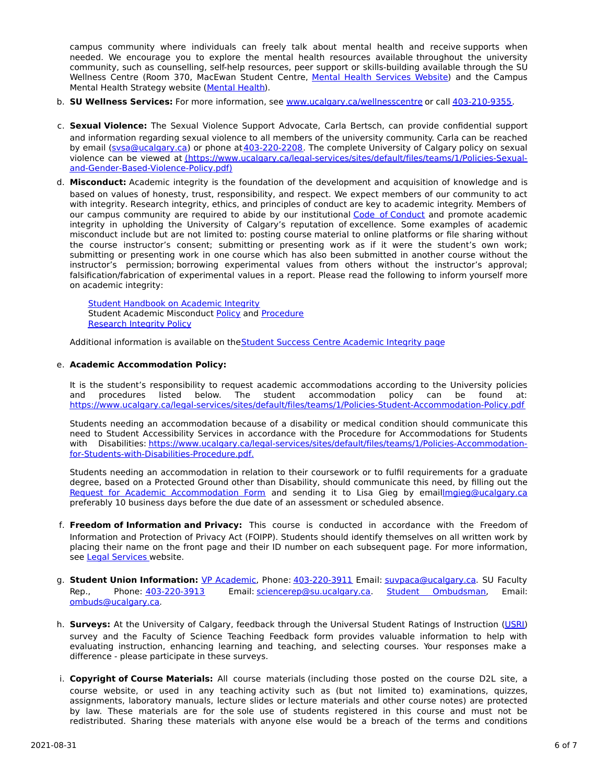campus community where individuals can freely talk about mental health and receive supports when needed. We encourage you to explore the mental health resources available throughout the university community, such as counselling, self-help resources, peer support or skills-building available through the SU Wellness Centre (Room 370, MacEwan Student Centre, Mental Health [Services](https://www.ucalgary.ca/wellnesscentre/services/mental-health-services) Website) and the Campus Mental Health Strategy website [\(Mental](http://www.ucalgary.ca/mentalhealth) Health).

- b. **SU Wellness Services:** For more information, see [www.ucalgary.ca/wellnesscentre](http://www.ucalgary.ca/wellnesscentre) or call [403-210-9355.](tel:4032109355)
- c. **Sexual Violence:** The Sexual Violence Support Advocate, Carla Bertsch, can provide confidential support and information regarding sexual violence to all members of the university community. Carla can be reached by email [\(svsa@ucalgary.ca](mailto:svsa@ucalgary.ca)) or phone at [403-220-2208](tel:4032202208). The complete University of Calgary policy on sexual violence can be viewed at [\(https://www.ucalgary.ca/legal-services/sites/default/files/teams/1/Policies-Sexual](https://www.ucalgary.ca/legal-services/sites/default/files/teams/1/Policies-Sexual-and-Gender-Based-Violence-Policy.pdf)and-Gender-Based-Violence-Policy.pdf)
- d. **Misconduct:** Academic integrity is the foundation of the development and acquisition of knowledge and is based on values of honesty, trust, responsibility, and respect. We expect members of our community to act with integrity. Research integrity, ethics, and principles of conduct are key to academic integrity. Members of our campus community are required to abide by our institutional Code of [Conduct](https://www.ucalgary.ca/legal-services/sites/default/files/teams/1/Policies-Code-of-Conduct.pdf) and promote academic integrity in upholding the University of Calgary's reputation of excellence. Some examples of academic misconduct include but are not limited to: posting course material to online platforms or file sharing without the course instructor's consent; submitting or presenting work as if it were the student's own work; submitting or presenting work in one course which has also been submitted in another course without the instructor's permission; borrowing experimental values from others without the instructor's approval; falsification/fabrication of experimental values in a report. Please read the following to inform yourself more on academic integrity:

Student [Handbook](https://www.ucalgary.ca/live-uc-ucalgary-site/sites/default/files/teams/9/AI-Student-handbook-1.pdf) on Academic Integrity Student Academic Misconduct [Policy](https://www.ucalgary.ca/legal-services/sites/default/files/teams/1/Policies-Student-Academic-Misconduct-Policy.pdf) and [Procedure](https://www.ucalgary.ca/legal-services/sites/default/files/teams/1/Policies-Student-Academic-Misconduct-Procedure.pdf) [Research](https://www.ucalgary.ca/legal-services/sites/default/files/teams/1/Policies-Research-Integrity-Policy.pdf) Integrity Policy

Additional information is available on the Student Success Centre [Academic](https://ucalgary.ca/student-services/student-success/learning/academic-integrity) Integrity page

## e. **Academic Accommodation Policy:**

It is the student's responsibility to request academic accommodations according to the University policies and procedures listed below. The student accommodation policy can be found at: <https://www.ucalgary.ca/legal-services/sites/default/files/teams/1/Policies-Student-Accommodation-Policy.pdf>

Students needing an accommodation because of a disability or medical condition should communicate this need to Student Accessibility Services in accordance with the Procedure for Accommodations for Students with Disabilities: [https://www.ucalgary.ca/legal-services/sites/default/files/teams/1/Policies-Accommodation](https://www.ucalgary.ca/legal-services/sites/default/files/teams/1/Policies-Accommodation-for-Students-with-Disabilities-Procedure.pdf)for-Students-with-Disabilities-Procedure.pdf.

Students needing an accommodation in relation to their coursework or to fulfil requirements for a graduate degree, based on a Protected Ground other than Disability, should communicate this need, by filling out the Request for Academic [Accommodation](https://science.ucalgary.ca/sites/default/files/teams/1/request-accommodation-academic-courses.pdf) Form and sending it to Lisa Gieg by emai[llmgieg@ucalgary.ca](mailto:lmgieg@ucalgary.ca) preferably 10 business days before the due date of an assessment or scheduled absence.

- f. **Freedom of Information and Privacy:** This course is conducted in accordance with the Freedom of Information and Protection of Privacy Act (FOIPP). Students should identify themselves on all written work by placing their name on the front page and their ID number on each subsequent page. For more information, see Legal [Services](https://www.ucalgary.ca/legal-services/access-information-privacy) website.
- g. **Student Union Information:** VP [Academic](http://www.su.ucalgary.ca/contact), Phone: [403-220-3911](tel:4032203911) Email: [suvpaca@ucalgary.ca](mailto:suvpaca@ucalgary.ca). SU Faculty Rep., Phone: [403-220-3913](tel:4032203913) Email: [sciencerep@su.ucalgary.ca](mailto:sciencerep@su.ucalgary.ca). Student [Ombudsman](https://www.ucalgary.ca/ombuds/), Email: [ombuds@ucalgary.ca](mailto:%20ombuds@ucalgary.ca).
- h. **Surveys:** At the University of Calgary, feedback through the Universal Student Ratings of Instruction [\(USRI](http://www.ucalgary.ca/usri)) survey and the Faculty of Science Teaching Feedback form provides valuable information to help with evaluating instruction, enhancing learning and teaching, and selecting courses. Your responses make a difference - please participate in these surveys.
- i. **Copyright of Course Materials:** All course materials (including those posted on the course D2L site, a course website, or used in any teaching activity such as (but not limited to) examinations, quizzes, assignments, laboratory manuals, lecture slides or lecture materials and other course notes) are protected by law. These materials are for the sole use of students registered in this course and must not be redistributed. Sharing these materials with anyone else would be a breach of the terms and conditions